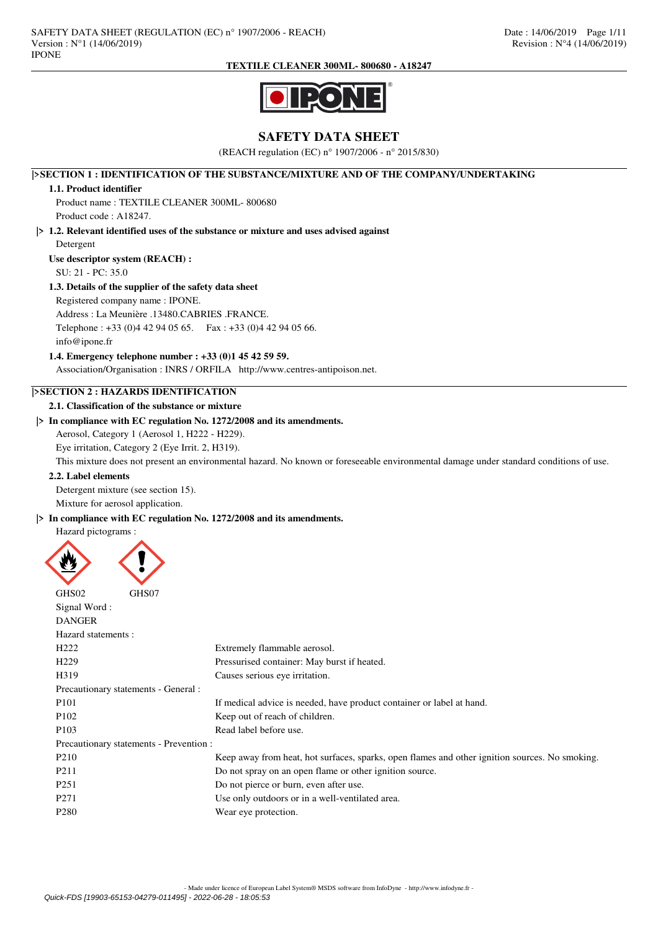

# **SAFETY DATA SHEET**

(REACH regulation (EC) n° 1907/2006 - n° 2015/830)

**|>SECTION 1 : IDENTIFICATION OF THE SUBSTANCE/MIXTURE AND OF THE COMPANY/UNDERTAKING**

## **1.1. Product identifier**

Product name : TEXTILE CLEANER 300ML- 800680 Product code : A18247.

**|> 1.2. Relevant identified uses of the substance or mixture and uses advised against**

Detergent

**Use descriptor system (REACH) :**

SU: 21 - PC: 35.0

## **1.3. Details of the supplier of the safety data sheet**

Registered company name : IPONE.

Address : La Meunière .13480.CABRIES .FRANCE.

Telephone : +33 (0)4 42 94 05 65. Fax : +33 (0)4 42 94 05 66. info@ipone.fr

**1.4. Emergency telephone number : +33 (0)1 45 42 59 59.**

Association/Organisation : INRS / ORFILA http://www.centres-antipoison.net.

## **|>SECTION 2 : HAZARDS IDENTIFICATION**

**2.1. Classification of the substance or mixture**

## **|> In compliance with EC regulation No. 1272/2008 and its amendments.**

Aerosol, Category 1 (Aerosol 1, H222 - H229).

Eye irritation, Category 2 (Eye Irrit. 2, H319).

This mixture does not present an environmental hazard. No known or foreseeable environmental damage under standard conditions of use.

## **2.2. Label elements**

Detergent mixture (see section 15). Mixture for aerosol application.

## **|> In compliance with EC regulation No. 1272/2008 and its amendments.**

Hazard pictograms :



| GHS02              | GHS07                                   |                                                                                                |
|--------------------|-----------------------------------------|------------------------------------------------------------------------------------------------|
| Signal Word:       |                                         |                                                                                                |
| <b>DANGER</b>      |                                         |                                                                                                |
| Hazard statements: |                                         |                                                                                                |
| H <sub>222</sub>   |                                         | Extremely flammable aerosol.                                                                   |
| H <sub>229</sub>   |                                         | Pressurised container: May burst if heated.                                                    |
| H319               |                                         | Causes serious eye irritation.                                                                 |
|                    | Precautionary statements - General :    |                                                                                                |
| P <sub>101</sub>   |                                         | If medical advice is needed, have product container or label at hand.                          |
| P <sub>102</sub>   |                                         | Keep out of reach of children.                                                                 |
| P <sub>10</sub> 3  |                                         | Read label before use.                                                                         |
|                    | Precautionary statements - Prevention : |                                                                                                |
| P <sub>210</sub>   |                                         | Keep away from heat, hot surfaces, sparks, open flames and other ignition sources. No smoking. |
| P <sub>211</sub>   |                                         | Do not spray on an open flame or other ignition source.                                        |
| P <sub>251</sub>   |                                         | Do not pierce or burn, even after use.                                                         |
| P <sub>271</sub>   |                                         | Use only outdoors or in a well-ventilated area.                                                |
| P <sub>280</sub>   |                                         | Wear eye protection.                                                                           |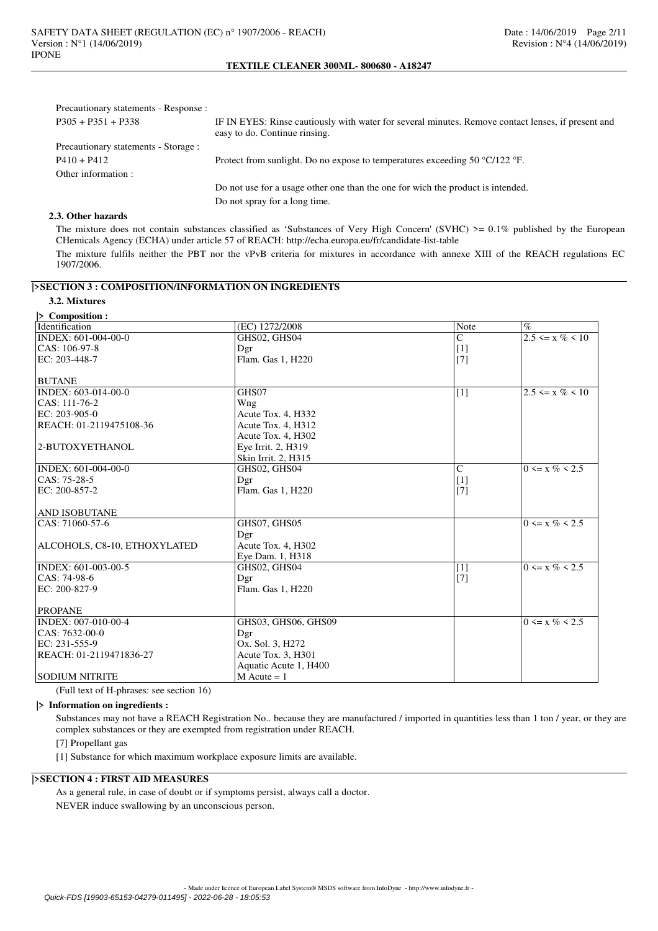| Precautionary statements - Response : |                                                                                                                                     |
|---------------------------------------|-------------------------------------------------------------------------------------------------------------------------------------|
| $P305 + P351 + P338$                  | IF IN EYES: Rinse cautiously with water for several minutes. Remove contact lenses, if present and<br>easy to do. Continue rinsing. |
| Precautionary statements - Storage :  |                                                                                                                                     |
| $P410 + P412$                         | Protect from sunlight. Do no expose to temperatures exceeding 50 $\degree$ C/122 $\degree$ F.                                       |
| Other information :                   |                                                                                                                                     |
|                                       | Do not use for a usage other one than the one for wich the product is intended.                                                     |
|                                       | Do not spray for a long time.                                                                                                       |

## **2.3. Other hazards**

The mixture does not contain substances classified as 'Substances of Very High Concern' (SVHC)  $> = 0.1\%$  published by the European CHemicals Agency (ECHA) under article 57 of REACH: http://echa.europa.eu/fr/candidate-list-table The mixture fulfils neither the PBT nor the vPvB criteria for mixtures in accordance with annexe XIII of the REACH regulations EC 1907/2006.

# **|>SECTION 3 : COMPOSITION/INFORMATION ON INGREDIENTS**

## **3.2. Mixtures**

| $\triangleright$ Composition : |                       |                |                       |
|--------------------------------|-----------------------|----------------|-----------------------|
| Identification                 | (EC) 1272/2008        | Note           | $\%$                  |
| INDEX: 601-004-00-0            | GHS02, GHS04          | $\overline{C}$ | $2.5 \le x \% \le 10$ |
| CAS: 106-97-8<br>Dgr           |                       | $[1]$          |                       |
| EC: 203-448-7                  | Flam. Gas 1, H220     | $[7]$          |                       |
|                                |                       |                |                       |
| <b>BUTANE</b>                  |                       |                |                       |
| INDEX: 603-014-00-0            | GHS07                 | [1]            | $2.5 \le x \% \le 10$ |
| CAS: 111-76-2                  | Wng                   |                |                       |
| EC: 203-905-0                  | Acute Tox. 4, H332    |                |                       |
| REACH: 01-2119475108-36        | Acute Tox. 4, H312    |                |                       |
|                                | Acute Tox. 4, H302    |                |                       |
| 2-BUTOXYETHANOL                | Eye Irrit. 2, H319    |                |                       |
|                                | Skin Irrit. 2, H315   |                |                       |
| INDEX: 601-004-00-0            | GHS02, GHS04          | $\mathsf{C}$   | $0 \le x \% \le 2.5$  |
| $CAS: 75-28-5$<br>Dgr          |                       | $[1]$          |                       |
| EC: 200-857-2                  | Flam. Gas 1, H220     | [7]            |                       |
|                                |                       |                |                       |
| <b>AND ISOBUTANE</b>           |                       |                |                       |
| CAS: 71060-57-6                | GHS07, GHS05          |                | $0 \le x \% \le 2.5$  |
| Dgr                            |                       |                |                       |
| ALCOHOLS, C8-10, ETHOXYLATED   | Acute Tox. 4, H302    |                |                       |
|                                | Eye Dam. 1, H318      |                |                       |
| INDEX: 601-003-00-5            | GHS02, GHS04          | $[1]$          | $0 \le x \% \le 2.5$  |
| CAS: 74-98-6<br>Dgr            |                       | $[7]$          |                       |
| EC: 200-827-9                  | Flam. Gas 1, H220     |                |                       |
|                                |                       |                |                       |
| <b>PROPANE</b>                 |                       |                |                       |
| INDEX: 007-010-00-4            | GHS03, GHS06, GHS09   |                | $0 \le x \% \le 2.5$  |
| CAS: 7632-00-0<br>Dgr          |                       |                |                       |
| EC: 231-555-9                  | Ox. Sol. 3, H272      |                |                       |
| REACH: 01-2119471836-27        | Acute Tox. 3, H301    |                |                       |
|                                | Aquatic Acute 1, H400 |                |                       |
| <b>SODIUM NITRITE</b>          | $M$ Acute = 1         |                |                       |

(Full text of H-phrases: see section 16)

## **|> Information on ingredients :**

Substances may not have a REACH Registration No.. because they are manufactured / imported in quantities less than 1 ton / year, or they are complex substances or they are exempted from registration under REACH.

[7] Propellant gas

[1] Substance for which maximum workplace exposure limits are available.

## **|>SECTION 4 : FIRST AID MEASURES**

As a general rule, in case of doubt or if symptoms persist, always call a doctor. NEVER induce swallowing by an unconscious person.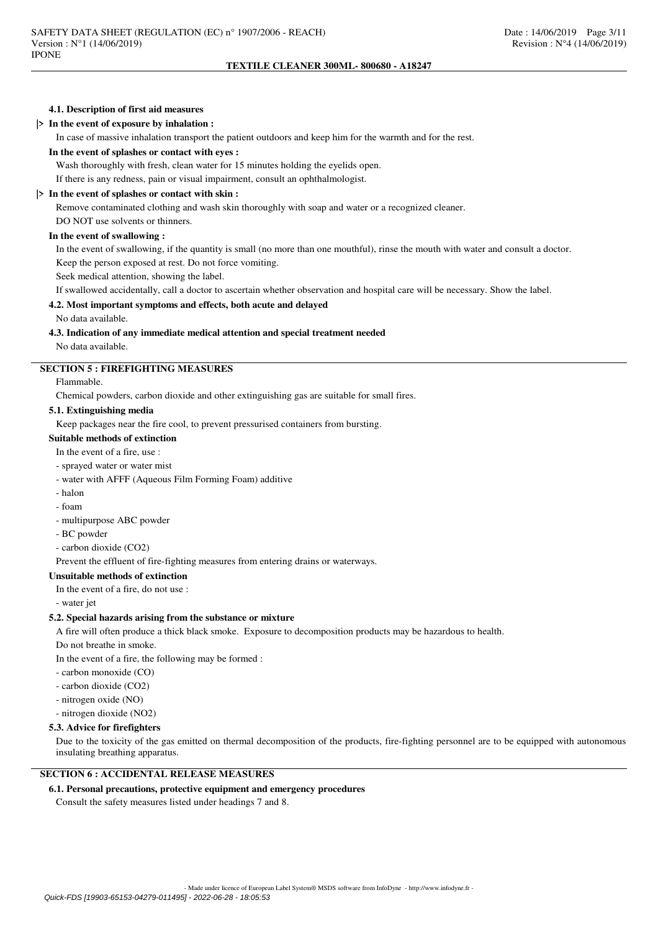## **4.1. Description of first aid measures**

## **|> In the event of exposure by inhalation :**

In case of massive inhalation transport the patient outdoors and keep him for the warmth and for the rest.

#### **In the event of splashes or contact with eyes :**

Wash thoroughly with fresh, clean water for 15 minutes holding the eyelids open.

If there is any redness, pain or visual impairment, consult an ophthalmologist.

#### **|> In the event of splashes or contact with skin :**

Remove contaminated clothing and wash skin thoroughly with soap and water or a recognized cleaner.

DO NOT use solvents or thinners.

## **In the event of swallowing :**

In the event of swallowing, if the quantity is small (no more than one mouthful), rinse the mouth with water and consult a doctor. Keep the person exposed at rest. Do not force vomiting.

Seek medical attention, showing the label.

If swallowed accidentally, call a doctor to ascertain whether observation and hospital care will be necessary. Show the label.

## **4.2. Most important symptoms and effects, both acute and delayed**

No data available.

## **4.3. Indication of any immediate medical attention and special treatment needed**

No data available.

## **SECTION 5 : FIREFIGHTING MEASURES**

Flammable.

Chemical powders, carbon dioxide and other extinguishing gas are suitable for small fires.

#### **5.1. Extinguishing media**

Keep packages near the fire cool, to prevent pressurised containers from bursting.

## **Suitable methods of extinction**

In the event of a fire, use :

## - sprayed water or water mist

- water with AFFF (Aqueous Film Forming Foam) additive
- halon
- foam
- multipurpose ABC powder
- BC powder
- carbon dioxide (CO2)

Prevent the effluent of fire-fighting measures from entering drains or waterways.

## **Unsuitable methods of extinction**

In the event of a fire, do not use :

- water jet

#### **5.2. Special hazards arising from the substance or mixture**

A fire will often produce a thick black smoke. Exposure to decomposition products may be hazardous to health.

Do not breathe in smoke.

In the event of a fire, the following may be formed :

- carbon monoxide (CO)

- carbon dioxide (CO2)

- nitrogen oxide (NO)
- nitrogen dioxide (NO2)

#### **5.3. Advice for firefighters**

Due to the toxicity of the gas emitted on thermal decomposition of the products, fire-fighting personnel are to be equipped with autonomous insulating breathing apparatus.

## **SECTION 6 : ACCIDENTAL RELEASE MEASURES**

#### **6.1. Personal precautions, protective equipment and emergency procedures**

Consult the safety measures listed under headings 7 and 8.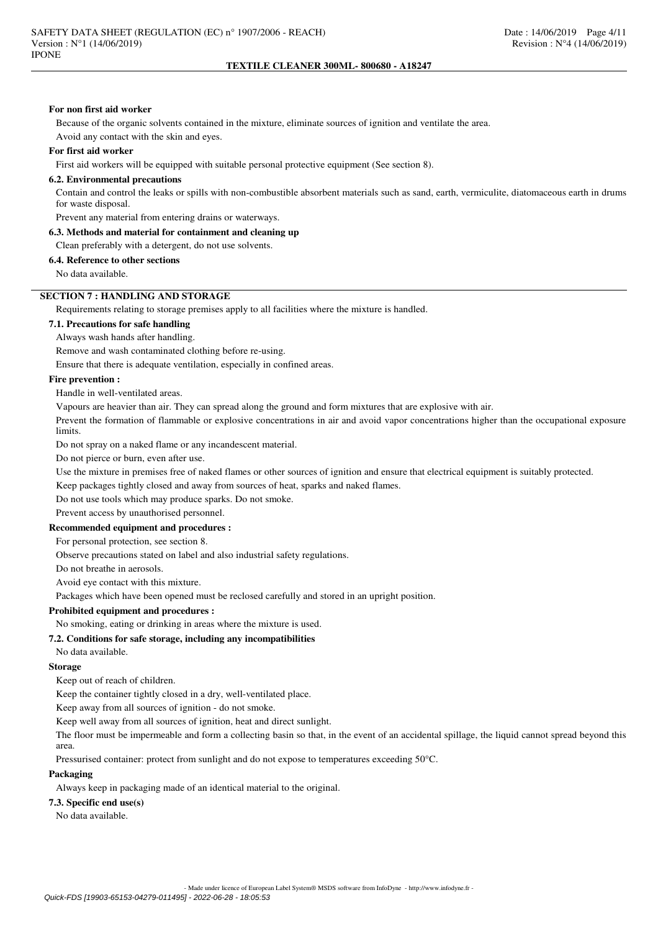#### **For non first aid worker**

Because of the organic solvents contained in the mixture, eliminate sources of ignition and ventilate the area.

Avoid any contact with the skin and eyes.

#### **For first aid worker**

First aid workers will be equipped with suitable personal protective equipment (See section 8).

#### **6.2. Environmental precautions**

Contain and control the leaks or spills with non-combustible absorbent materials such as sand, earth, vermiculite, diatomaceous earth in drums for waste disposal.

Prevent any material from entering drains or waterways.

## **6.3. Methods and material for containment and cleaning up**

Clean preferably with a detergent, do not use solvents.

## **6.4. Reference to other sections**

No data available.

## **SECTION 7 : HANDLING AND STORAGE**

Requirements relating to storage premises apply to all facilities where the mixture is handled.

## **7.1. Precautions for safe handling**

Always wash hands after handling.

Remove and wash contaminated clothing before re-using.

Ensure that there is adequate ventilation, especially in confined areas.

## **Fire prevention :**

Handle in well-ventilated areas.

Vapours are heavier than air. They can spread along the ground and form mixtures that are explosive with air.

Prevent the formation of flammable or explosive concentrations in air and avoid vapor concentrations higher than the occupational exposure limits.

Do not spray on a naked flame or any incandescent material.

Do not pierce or burn, even after use.

Use the mixture in premises free of naked flames or other sources of ignition and ensure that electrical equipment is suitably protected.

Keep packages tightly closed and away from sources of heat, sparks and naked flames.

Do not use tools which may produce sparks. Do not smoke.

Prevent access by unauthorised personnel.

## **Recommended equipment and procedures :**

For personal protection, see section 8.

Observe precautions stated on label and also industrial safety regulations.

Do not breathe in aerosols.

Avoid eye contact with this mixture.

Packages which have been opened must be reclosed carefully and stored in an upright position.

## **Prohibited equipment and procedures :**

# No smoking, eating or drinking in areas where the mixture is used.

#### **7.2. Conditions for safe storage, including any incompatibilities**

No data available.

#### **Storage**

Keep out of reach of children.

Keep the container tightly closed in a dry, well-ventilated place.

Keep away from all sources of ignition - do not smoke.

Keep well away from all sources of ignition, heat and direct sunlight.

The floor must be impermeable and form a collecting basin so that, in the event of an accidental spillage, the liquid cannot spread beyond this area.

Pressurised container: protect from sunlight and do not expose to temperatures exceeding 50°C.

#### **Packaging**

Always keep in packaging made of an identical material to the original.

#### **7.3. Specific end use(s)**

No data available.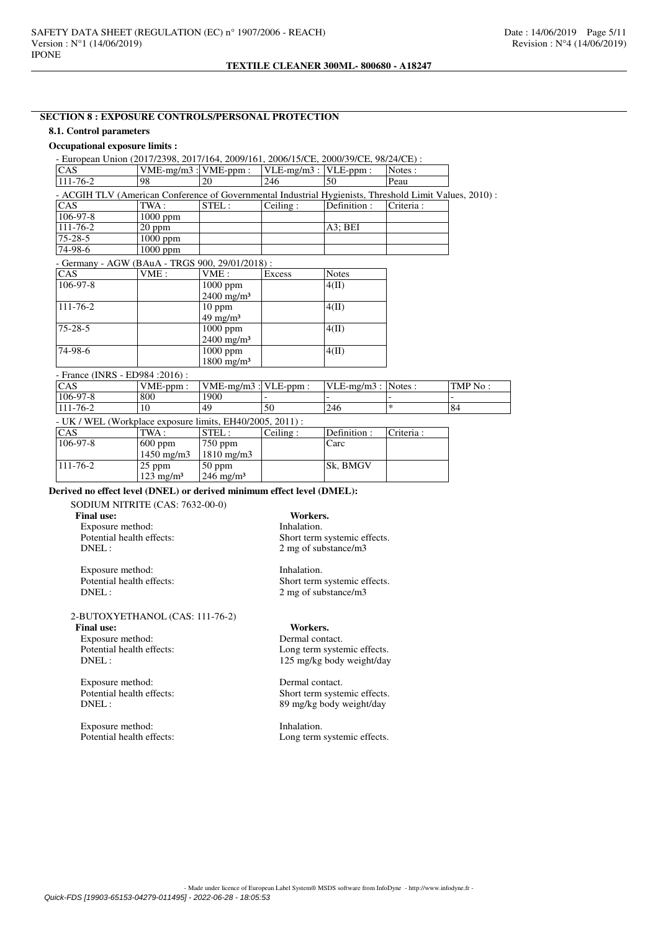# **SECTION 8 : EXPOSURE CONTROLS/PERSONAL PROTECTION**

## **8.1. Control parameters**

### **Occupational exposure limits :**

- European Union (2017/2398, 2017/164, 2009/161, 2006/15/CE, 2000/39/CE, 98/24/CE) :<br>
CAS [VME-mg/m3 : VME-ppm : |VLE-mg/m3 : |VLE-ppm : |Notes :  $\begin{array}{lll}\n\text{CAS} & \text{VME-mg/m3 : } & \text{VUE-mg/m3 : } & \text{VLE-mg/m3 : } \\
\hline\n111-76-2 & 98 & 20 & 246 & 50 & \text{Peau}\n\end{array}$ 111-76-2 98 20 246 50 Peau - ACGIH TLV (American Conference of Governmental Industrial Hygienists, Threshold Limit Values, 2010) : CAS TWA : STEL : Ceiling : Definition : Criteria : 106-97-8 1000 ppm  $\frac{106-97-8}{111-76-2}$  1000 ppm 111-76-2 20 ppm A3; BEI<br>
75-28-5 1000 ppm A3; BEI 75-28-5 1000 ppm<br>74-98-6 1000 ppm 1000 ppm - Germany - AGW (BAuA - TRGS 900, 29/01/2018) : CAS  $\vert$  VME :  $\vert$  VME :  $\vert$  Excess  $\vert$  Notes 106-97-8 1000 ppm  $\frac{2400 \text{ mg/m}^3}{10 \text{ ppm}}$  $4(II)$  $111 - 76 - 2$ 49 mg/m³  $4(III)$ 75-28-5 1000 ppm 2400 mg/m³  $\overline{4(\text{II})}$ 74-98-6 1000 ppm 1800 mg/m³  $4(\text{II})$ - France (INRS - ED984 :2016) :<br>CAS VME-ppm : CAS VME-ppm : VME-mg/m3 : VLE-ppm : VLE-mg/m3 : Notes : TMP No : 106-97-8 800 1900 -106-97-8 800 1900 - - - -

111-76-2  $|10 \t|49 \t|50 \t|246 \t$  \*  $|84 \t|$ 

|  |  | - UK / WEL (Workplace exposure limits, EH40/2005, 2011) : |  |
|--|--|-----------------------------------------------------------|--|
|--|--|-----------------------------------------------------------|--|

| <b>CAS</b>     | TWA:                 | $\small\texttt{ STEL:}$      | Ceiline: | Definition :    | Criteria : |
|----------------|----------------------|------------------------------|----------|-----------------|------------|
| $106 - 97 - 8$ | $ 600$ ppm           | $750$ ppm                    |          | Carc            |            |
|                | $1450 \text{ mg/m}$  | $1810 \text{ mg/m}$          |          |                 |            |
| $111 - 76 - 2$ | $ 25$ ppm            | $50$ ppm                     |          | <b>Sk, BMGV</b> |            |
|                | $123 \text{ mg/m}^3$ | $\frac{246 \text{ mg}}{m^3}$ |          |                 |            |

## **Derived no effect level (DNEL) or derived minimum effect level (DMEL):**

SODIUM NITRITE (CAS: 7632-00-0) **Final use:** Workers.<br> **Fxnosure method:** The Universe Exposure method: Exposure method:<br>Potential health effects: DNEL : 2 mg of substance/m3

Exposure method: Inhalation.<br>
Potential health effects: Short term<br>
Short term DNEL : 2 mg of substance/m3

2-BUTOXYETHANOL (CAS: 111-76-2)

**Final use:** Workers.<br> **Exposure method:** Dermal contact.

Exposure method:<br>Potential health effects:

Exposure method: Dermal contact.<br>
Potential health effects: Short term systems

Exposure method: Inhalation.<br>
Potential health effects: I cong term

Short term systemic effects.

Short term systemic effects.

Potential health effects:<br>
DNEL:<br>  $125 \text{ mg/kg body weight/day}$ 125 mg/kg body weight/day

Short term systemic effects. DNEL : 89 mg/kg body weight/day

Long term systemic effects.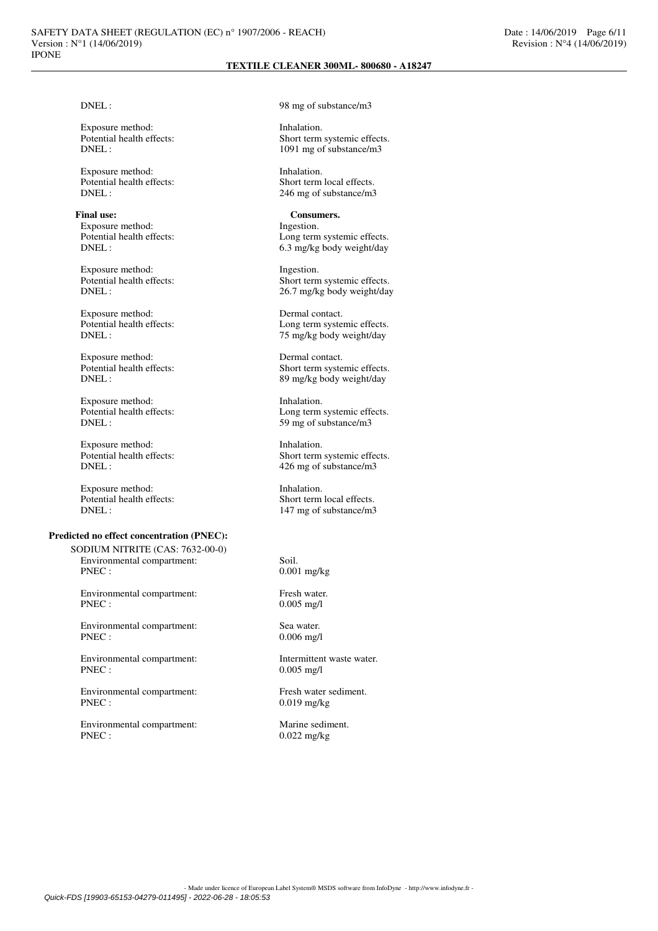Exposure method: Inhalation.<br>
Potential health effects: Short term<br>
Short term

Exposure method: Inhalation.

Final use: Consumers.<br>
Exposure method: The state of the state of the state of the state of the state of the state of the state of the state of the state of the state of the state of the state of the state of the state of Exposure method:<br>Potential health effects:

Exposure method: Ingestion.<br>
Potential health effects: Short term

Exposure method: Dermal contact.<br>
Potential health effects: Long term system

Exposure method: Dermal contact.<br>
Potential health effects: Short term syste

Exposure method: Inhalation.

Exposure method: Inhalation.<br>
Potential health effects: Short term<br>
Short term

Exposure method: Inhalation.

## **Predicted no effect concentration (PNEC):**

SODIUM NITRITE (CAS: 7632-00-0) Environmental compartment: Soil.<br>PNEC : 0.00

Environmental compartment: Fresh water. PNEC : 0.005 mg/l

Environmental compartment: Sea water.<br>PNEC:  $0.006 \text{ m}g/l$ 

Environmental compartment: Intermittent waste water.<br>PNEC: 0.005 mg/l

Environmental compartment: Fresh water sediment.<br>PNEC:  $0.019 \text{ m/s}$ 

Environmental compartment: Marine sediment.<br>PNEC: 0.022 mg/kg

DNEL : 98 mg of substance/m3

Potential health effects:<br>
DNEL:<br>
1091 mg of substance/m3 1091 mg of substance/m3

Potential health effects:<br>
DNEL:<br>
246 mg of substance/m3 246 mg of substance/m3

Potential health effects:<br>
DNEL:<br>
6.3 mg/kg body weight/day 6.3 mg/kg body weight/day

Potential health effects:<br>
Short term systemic effects.<br>  $26.7 \text{ me/kg}$  body weight/day 26.7 mg/kg body weight/day

Potential health effects:<br>
DNEL:<br>  $75 \text{ m}$ g/kg body weight/day 75 mg/kg body weight/day

Potential health effects:<br>
Short term systemic effects.<br>
Short term systemic effects.<br>
S9 mg/kg body weight/day 89 mg/kg body weight/day

Potential health effects:<br>
DNEL:<br>
59 mg of substance/m3 59 mg of substance/m3

Potential health effects:<br>
Short term systemic effects.<br>  $\frac{226 \text{ mg of substance/m3}}{120 \text{ mg of substance/m3}}$ 426 mg of substance/m3

Potential health effects:<br>
Short term local effects.<br>
147 mg of substance/m3 147 mg of substance/m3

 $0.001$  mg/kg

 $0.006$  mg/l

 $0.005$  mg/l

 $0.019$  mg/kg

 $0.022$  mg/kg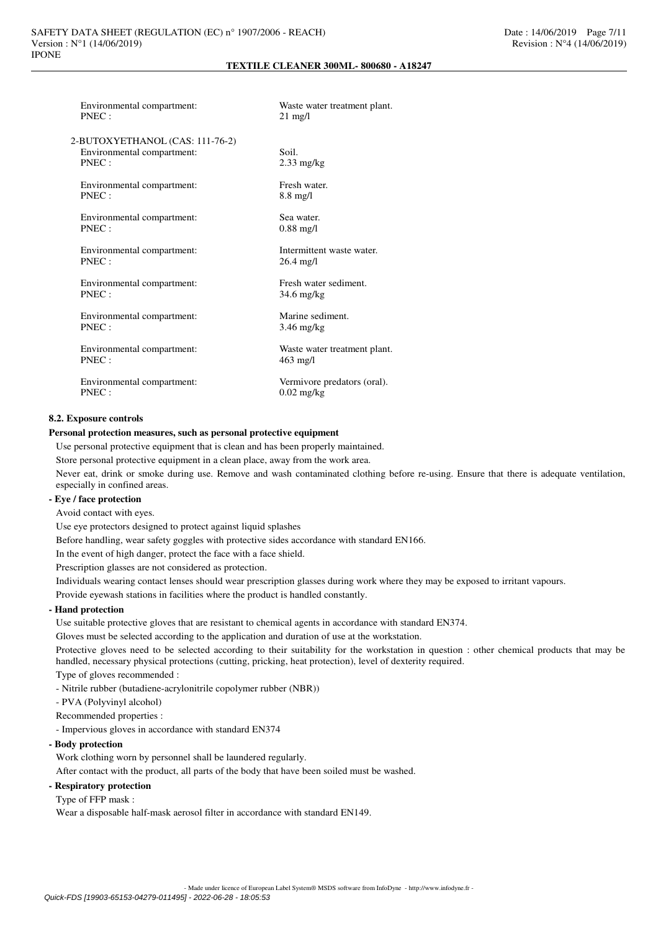| Environmental compartment:<br>PNEC: | Waste water treatment plant.<br>$21 \text{ mg/l}$ |
|-------------------------------------|---------------------------------------------------|
| 2-BUTOXYETHANOL (CAS: 111-76-2)     |                                                   |
| Environmental compartment:          | Soil.                                             |
| PNEC:                               | $2.33$ mg/kg                                      |
| Environmental compartment:          | Fresh water                                       |
| PNEC:                               | $8.8 \text{ mg/l}$                                |
|                                     |                                                   |
| Environmental compartment:          | Sea water.                                        |
| PNEC:                               | $0.88 \text{ mg}/1$                               |
|                                     | Intermittent waste water.                         |
| Environmental compartment:<br>PNEC: | 26.4 mg/l                                         |
|                                     |                                                   |
| Environmental compartment:          | Fresh water sediment.                             |
| PNEC:                               | 34.6 mg/kg                                        |
|                                     |                                                   |
| Environmental compartment:<br>PNEC: | Marine sediment.                                  |
|                                     | $3.46$ mg/kg                                      |
| Environmental compartment:          | Waste water treatment plant.                      |
| PNEC:                               | $463$ mg/l                                        |
|                                     |                                                   |
| Environmental compartment:          | Vermivore predators (oral).                       |
| PNEC:                               | $0.02$ mg/kg                                      |

## **8.2. Exposure controls**

## **Personal protection measures, such as personal protective equipment**

Use personal protective equipment that is clean and has been properly maintained.

Store personal protective equipment in a clean place, away from the work area.

Never eat, drink or smoke during use. Remove and wash contaminated clothing before re-using. Ensure that there is adequate ventilation, especially in confined areas.

## **- Eye / face protection**

Avoid contact with eyes.

Use eye protectors designed to protect against liquid splashes

Before handling, wear safety goggles with protective sides accordance with standard EN166.

In the event of high danger, protect the face with a face shield.

Prescription glasses are not considered as protection.

Individuals wearing contact lenses should wear prescription glasses during work where they may be exposed to irritant vapours.

Provide eyewash stations in facilities where the product is handled constantly.

## **- Hand protection**

Use suitable protective gloves that are resistant to chemical agents in accordance with standard EN374.

Gloves must be selected according to the application and duration of use at the workstation.

Protective gloves need to be selected according to their suitability for the workstation in question : other chemical products that may be handled, necessary physical protections (cutting, pricking, heat protection), level of dexterity required.

Type of gloves recommended :

- Nitrile rubber (butadiene-acrylonitrile copolymer rubber (NBR))

- PVA (Polyvinyl alcohol)

Recommended properties :

- Impervious gloves in accordance with standard EN374

#### **- Body protection**

Work clothing worn by personnel shall be laundered regularly.

After contact with the product, all parts of the body that have been soiled must be washed.

## **- Respiratory protection**

Type of FFP mask :

Wear a disposable half-mask aerosol filter in accordance with standard EN149.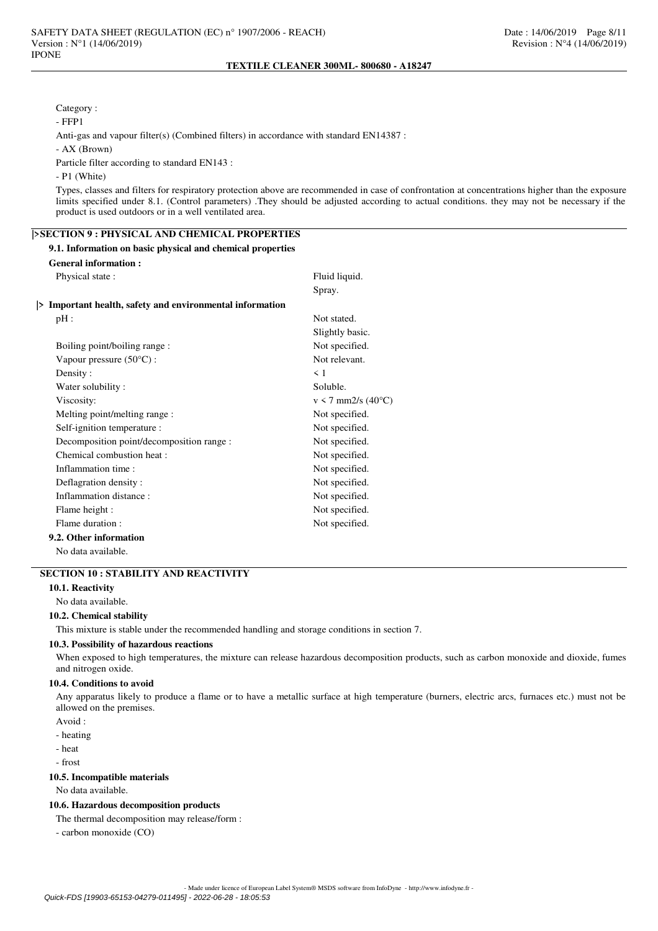## Category :

- FFP1

Anti-gas and vapour filter(s) (Combined filters) in accordance with standard EN14387 :

- AX (Brown)

Particle filter according to standard EN143 :

#### - P1 (White)

Types, classes and filters for respiratory protection above are recommended in case of confrontation at concentrations higher than the exposure limits specified under 8.1. (Control parameters) .They should be adjusted according to actual conditions. they may not be necessary if the product is used outdoors or in a well ventilated area.

## **|>SECTION 9 : PHYSICAL AND CHEMICAL PROPERTIES**

## **9.1. Information on basic physical and chemical properties**

## **General information :**

Physical state : Fluid liquid.

Spray.

#### **|> Important health, safety and environmental information**

| pH:                                       | Not stated.                     |
|-------------------------------------------|---------------------------------|
|                                           | Slightly basic.                 |
| Boiling point/boiling range:              | Not specified.                  |
| Vapour pressure $(50^{\circ}C)$ :         | Not relevant.                   |
| Density:                                  | $\leq 1$                        |
| Water solubility:                         | Soluble.                        |
| Viscosity:                                | $v < 7$ mm2/s (40 $^{\circ}$ C) |
| Melting point/melting range :             | Not specified.                  |
| Self-ignition temperature :               | Not specified.                  |
| Decomposition point/decomposition range : | Not specified.                  |
| Chemical combustion heat :                | Not specified.                  |
| Inflammation time:                        | Not specified.                  |
| Deflagration density:                     | Not specified.                  |
| Inflammation distance:                    | Not specified.                  |
| Flame height :                            | Not specified.                  |
| Flame duration :                          | Not specified.                  |
| 9.2. Other information                    |                                 |
|                                           |                                 |

No data available.

## **SECTION 10 : STABILITY AND REACTIVITY**

## **10.1. Reactivity**

No data available.

## **10.2. Chemical stability**

This mixture is stable under the recommended handling and storage conditions in section 7.

#### **10.3. Possibility of hazardous reactions**

When exposed to high temperatures, the mixture can release hazardous decomposition products, such as carbon monoxide and dioxide, fumes and nitrogen oxide.

## **10.4. Conditions to avoid**

Any apparatus likely to produce a flame or to have a metallic surface at high temperature (burners, electric arcs, furnaces etc.) must not be allowed on the premises.

- Avoid :
- heating

- heat

- frost

#### **10.5. Incompatible materials**

No data available.

## **10.6. Hazardous decomposition products**

The thermal decomposition may release/form :

- carbon monoxide (CO)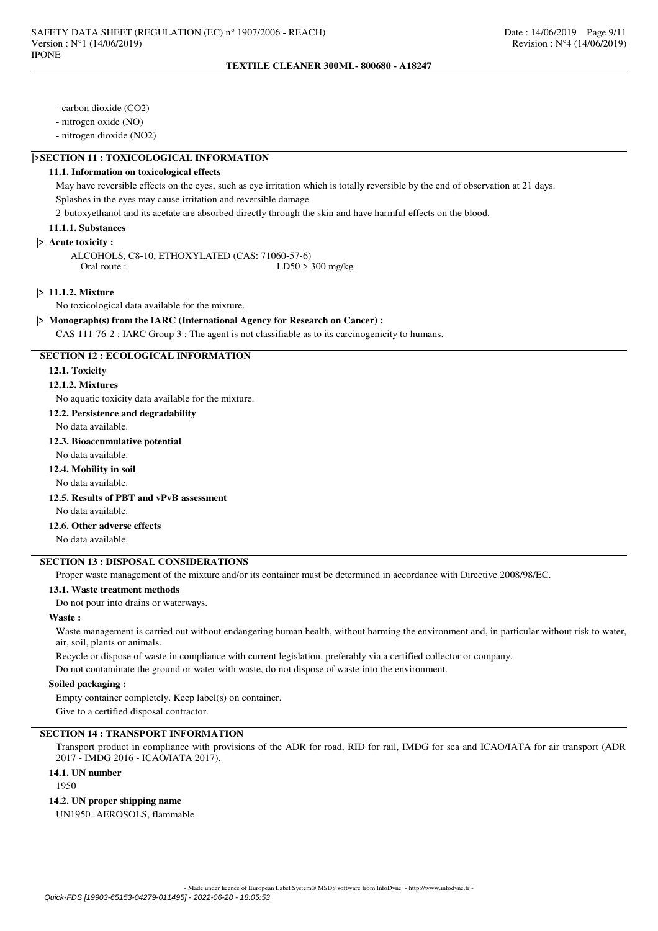- carbon dioxide (CO2)

- nitrogen oxide (NO)

- nitrogen dioxide (NO2)

## **|>SECTION 11 : TOXICOLOGICAL INFORMATION**

## **11.1. Information on toxicological effects**

May have reversible effects on the eyes, such as eye irritation which is totally reversible by the end of observation at 21 days. Splashes in the eyes may cause irritation and reversible damage

2-butoxyethanol and its acetate are absorbed directly through the skin and have harmful effects on the blood.

## **11.1.1. Substances**

#### **|> Acute toxicity :**

ALCOHOLS, C8-10, ETHOXYLATED (CAS: 71060-57-6)<br>1 Oral route : LD50 >  $LD50 > 300$  mg/kg

## **|> 11.1.2. Mixture**

No toxicological data available for the mixture.

## **|> Monograph(s) from the IARC (International Agency for Research on Cancer) :**

CAS 111-76-2 : IARC Group 3 : The agent is not classifiable as to its carcinogenicity to humans.

#### **SECTION 12 : ECOLOGICAL INFORMATION**

#### **12.1. Toxicity**

#### **12.1.2. Mixtures**

No aquatic toxicity data available for the mixture.

**12.2. Persistence and degradability**

No data available.

#### **12.3. Bioaccumulative potential**

No data available.

**12.4. Mobility in soil**

### No data available.

- **12.5. Results of PBT and vPvB assessment**
	- No data available.

# **12.6. Other adverse effects**

No data available.

# **SECTION 13 : DISPOSAL CONSIDERATIONS**

Proper waste management of the mixture and/or its container must be determined in accordance with Directive 2008/98/EC.

#### **13.1. Waste treatment methods**

Do not pour into drains or waterways.

#### **Waste :**

Waste management is carried out without endangering human health, without harming the environment and, in particular without risk to water, air, soil, plants or animals.

Recycle or dispose of waste in compliance with current legislation, preferably via a certified collector or company.

Do not contaminate the ground or water with waste, do not dispose of waste into the environment.

## **Soiled packaging :**

Empty container completely. Keep label(s) on container.

Give to a certified disposal contractor.

# **SECTION 14 : TRANSPORT INFORMATION**

Transport product in compliance with provisions of the ADR for road, RID for rail, IMDG for sea and ICAO/IATA for air transport (ADR 2017 - IMDG 2016 - ICAO/IATA 2017).

## **14.1. UN number**

1950

#### **14.2. UN proper shipping name**

UN1950=AEROSOLS, flammable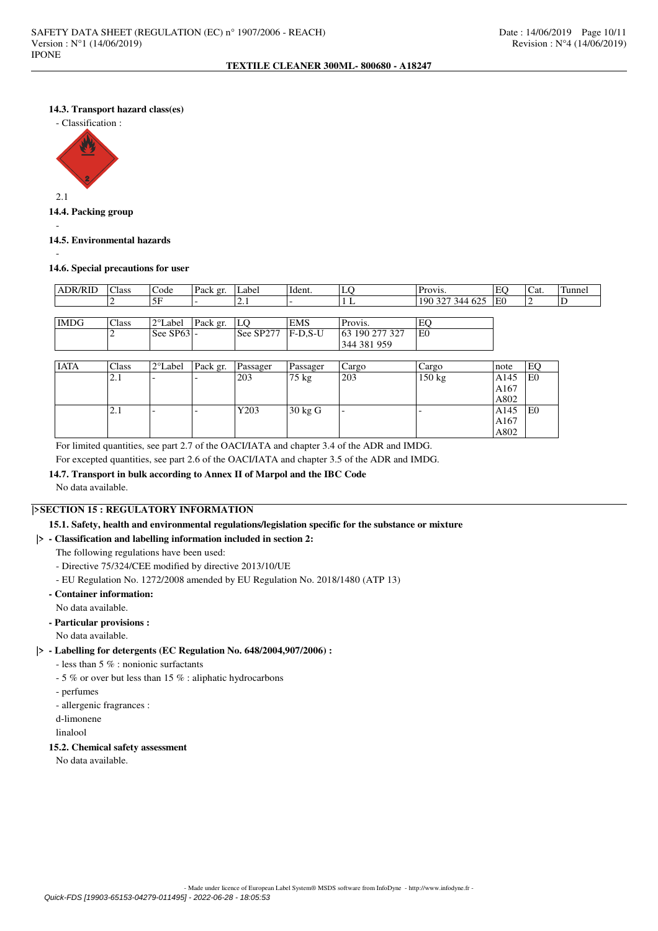## **14.3. Transport hazard class(es)**



#### **14.4. Packing group**

## **14.5. Environmental hazards**

-

-

## **14.6. Special precautions for user**

| <b>ADR/RID</b> | Class | Code                | Pack gr. | Label     | Ident.     | LC             | Provis.         | EО             | 'Cat. | Tunnel |
|----------------|-------|---------------------|----------|-----------|------------|----------------|-----------------|----------------|-------|--------|
|                |       | 5F                  |          | <u>.</u>  |            |                | 190 327 344 625 | E <sub>0</sub> |       | υ      |
|                |       |                     |          |           |            |                |                 |                |       |        |
| <b>IMDG</b>    | Class | 2°Label             | Pack gr. | LО        | <b>EMS</b> | Provis.        | E               |                |       |        |
|                |       | $\text{See}$ SP63 - |          | See SP277 | $F$ -D.S-U | 63 190 277 327 | E0              |                |       |        |
|                |       |                     |          |           |            | 344 381 959    |                 |                |       |        |

| <b>IATA</b> | Class | $2^{\circ}$ Label | Pack gr. | Passager | Passager          | Cargo | Cargo  | note | EC             |
|-------------|-------|-------------------|----------|----------|-------------------|-------|--------|------|----------------|
|             | 2.1   | -                 |          | 203      | $75 \text{ kg}$   | 203   | 150 kg | A145 | E <sub>0</sub> |
|             |       |                   |          |          |                   |       |        | A167 |                |
|             |       |                   |          |          |                   |       |        | A802 |                |
|             | 2.1   | -                 |          | Y203     | $30 \text{ kg}$ G | -     | -      | A145 | E <sub>0</sub> |
|             |       |                   |          |          |                   |       |        | A167 |                |
|             |       |                   |          |          |                   |       |        | A802 |                |

For limited quantities, see part 2.7 of the OACI/IATA and chapter 3.4 of the ADR and IMDG. For excepted quantities, see part 2.6 of the OACI/IATA and chapter 3.5 of the ADR and IMDG.

# **14.7. Transport in bulk according to Annex II of Marpol and the IBC Code**

No data available.

## **|>SECTION 15 : REGULATORY INFORMATION**

## **15.1. Safety, health and environmental regulations/legislation specific for the substance or mixture**

## **|> - Classification and labelling information included in section 2:**

The following regulations have been used:

- Directive 75/324/CEE modified by directive 2013/10/UE
- EU Regulation No. 1272/2008 amended by EU Regulation No. 2018/1480 (ATP 13)

## **- Container information:**

No data available.

- **Particular provisions :**
	- No data available.

## **|> - Labelling for detergents (EC Regulation No. 648/2004,907/2006) :**

- less than 5 % : nonionic surfactants
- 5 % or over but less than 15 % : aliphatic hydrocarbons
- perfumes
- allergenic fragrances :
- d-limonene
- linalool

## **15.2. Chemical safety assessment**

No data available.